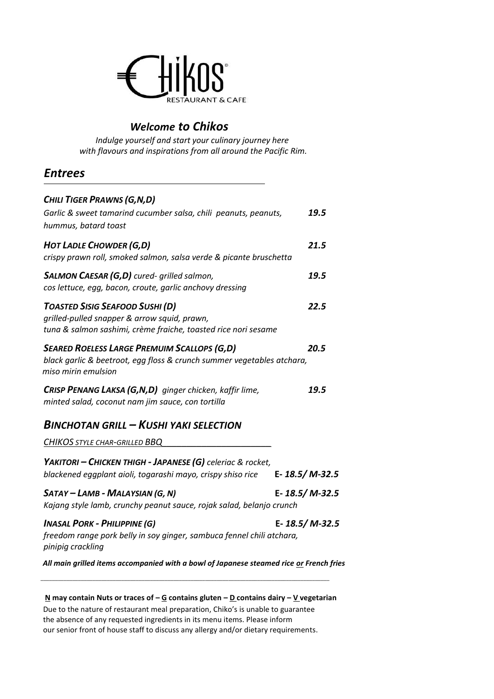

## *Welcome to Chikos*

*Indulge yourself and start your culinary journey here with flavours and inspirations from all around the Pacific Rim.*

## *Entrees*

| CHILI TIGER PRAWNS (G, N, D)<br>Garlic & sweet tamarind cucumber salsa, chili peanuts, peanuts,<br>hummus, batard toast                                  | 19.5          |
|----------------------------------------------------------------------------------------------------------------------------------------------------------|---------------|
| <b>HOT LADLE CHOWDER (G,D)</b><br>crispy prawn roll, smoked salmon, salsa verde & picante bruschetta                                                     | 21.5          |
| SALMON CAESAR (G,D) cured- grilled salmon,<br>cos lettuce, egg, bacon, croute, garlic anchovy dressing                                                   | 19.5          |
| <b>TOASTED SISIG SEAFOOD SUSHI (D)</b><br>grilled-pulled snapper & arrow squid, prawn,<br>tuna & salmon sashimi, crème fraiche, toasted rice nori sesame | 22.5          |
| <b>SEARED ROELESS LARGE PREMUIM SCALLOPS (G,D)</b><br>black garlic & beetroot, egg floss & crunch summer vegetables atchara,<br>miso mirin emulsion      | 20.5          |
| CRISP PENANG LAKSA (G,N,D) ginger chicken, kaffir lime,<br>minted salad, coconut nam jim sauce, con tortilla                                             | 19.5          |
| <b>BINCHOTAN GRILL - KUSHI YAKI SELECTION</b><br><b>CHIKOS STYLE CHAR-GRILLED BBQ</b>                                                                    |               |
| YAKITORI - CHICKEN THIGH - JAPANESE (G) celeriac & rocket,<br>blackened eggplant aioli, togarashi mayo, crispy shiso rice                                | E-18.5/M-32.5 |
| SATAY - LAMB - MALAYSIAN (G, N)<br>Kajang style lamb, crunchy peanut sauce, rojak salad, belanjo crunch                                                  | E-18.5/M-32.5 |
| <b>INASAL PORK - PHILIPPINE (G)</b>                                                                                                                      | E-18.5/M-32.5 |
| freedom range pork belly in soy ginger, sambuca fennel chili atchara,<br>pinipig crackling                                                               |               |

 **N may contain Nuts or traces of – G contains gluten – D contains dairy – V vegetarian** Due to the nature of restaurant meal preparation, Chiko's is unable to guarantee the absence of any requested ingredients in its menu items. Please inform our senior front of house staff to discuss any allergy and/or dietary requirements.